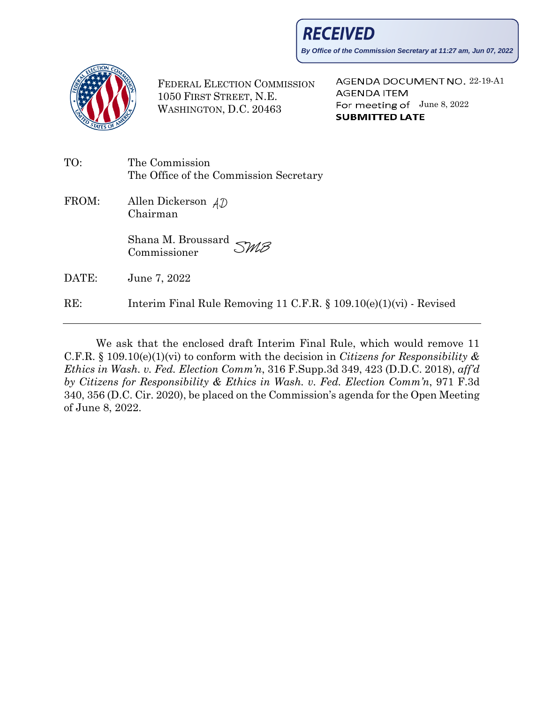**RECEIVED** 

**By Office of the Commission Secretary at 11:27 am, Jun 07, 2022**



FEDERAL ELECTION COMMISSION 1050 FIRST STREET, N.E. WASHINGTON, D.C. 20463

AGENDA DOCUMENT NO. 22-19-A1 **AGENDA ITEM** For meeting of  $June 8, 2022$ **SUBMITTED LATE** 

| TO:   | The Commission<br>The Office of the Commission Secretary              |
|-------|-----------------------------------------------------------------------|
| FROM: | Allen Dickerson $AD$<br>Chairman                                      |
|       | Shana M. Broussard $\mathcal{SMB}$<br>Commissioner                    |
| DATE: | June 7, 2022                                                          |
| RE:   | Interim Final Rule Removing 11 C.F.R. $\S$ 109.10(e)(1)(vi) - Revised |

We ask that the enclosed draft Interim Final Rule, which would remove 11 C.F.R. § 109.10(e)(1)(vi) to conform with the decision in *Citizens for Responsibility & Ethics in Wash. v. Fed. Election Comm'n*, 316 F.Supp.3d 349, 423 (D.D.C. 2018), *aff'd by Citizens for Responsibility & Ethics in Wash. v. Fed. Election Comm'n*, 971 F.3d 340, 356 (D.C. Cir. 2020), be placed on the Commission's agenda for the Open Meeting of June 8, 2022.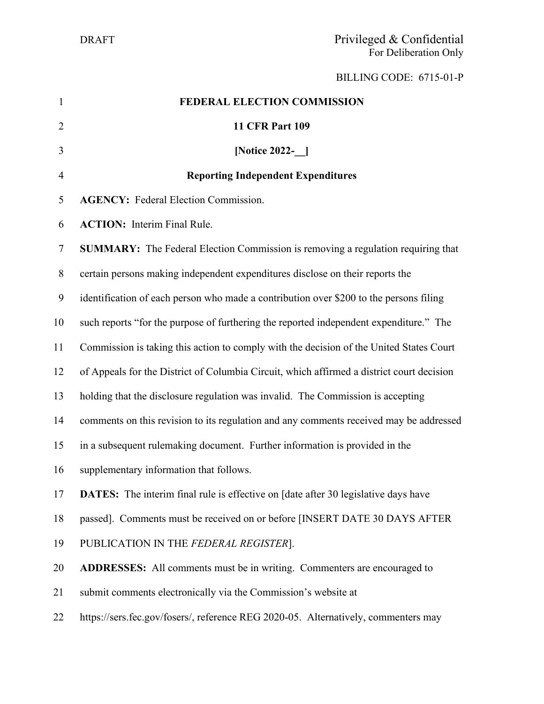BILLING CODE: 6715-01-P

| $\mathbf{1}$     | FEDERAL ELECTION COMMISSION                                                               |
|------------------|-------------------------------------------------------------------------------------------|
| $\overline{2}$   | <b>11 CFR Part 109</b>                                                                    |
| 3                | [Notice 2022- ]                                                                           |
| $\overline{4}$   | <b>Reporting Independent Expenditures</b>                                                 |
| 5                | <b>AGENCY:</b> Federal Election Commission.                                               |
| 6                | <b>ACTION:</b> Interim Final Rule.                                                        |
| 7                | SUMMARY: The Federal Election Commission is removing a regulation requiring that          |
| 8                | certain persons making independent expenditures disclose on their reports the             |
| $\boldsymbol{9}$ | identification of each person who made a contribution over \$200 to the persons filing    |
| 10               | such reports "for the purpose of furthering the reported independent expenditure." The    |
| 11               | Commission is taking this action to comply with the decision of the United States Court   |
| 12               | of Appeals for the District of Columbia Circuit, which affirmed a district court decision |
| 13               | holding that the disclosure regulation was invalid. The Commission is accepting           |
| 14               | comments on this revision to its regulation and any comments received may be addressed    |
| 15               | in a subsequent rulemaking document. Further information is provided in the               |
| 16               | supplementary information that follows.                                                   |
| 17               | <b>DATES:</b> The interim final rule is effective on [date after 30 legislative days have |
| 18               | passed]. Comments must be received on or before [INSERT DATE 30 DAYS AFTER                |
| 19               | PUBLICATION IN THE FEDERAL REGISTER].                                                     |
| 20               | <b>ADDRESSES:</b> All comments must be in writing. Commenters are encouraged to           |
| 21               | submit comments electronically via the Commission's website at                            |
| 22               | https://sers.fec.gov/fosers/, reference REG 2020-05. Alternatively, commenters may        |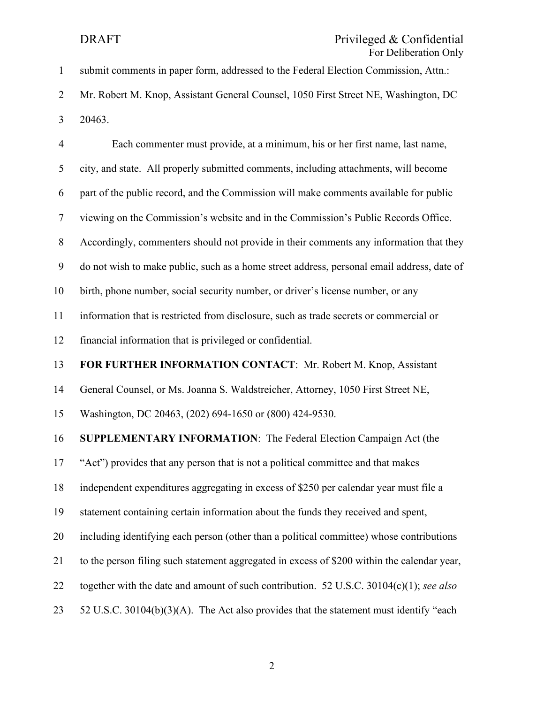| $\mathbf{1}$   | FOI Defineration Only<br>submit comments in paper form, addressed to the Federal Election Commission, Attn.: |
|----------------|--------------------------------------------------------------------------------------------------------------|
| $\overline{2}$ | Mr. Robert M. Knop, Assistant General Counsel, 1050 First Street NE, Washington, DC                          |
| 3              | 20463.                                                                                                       |
|                |                                                                                                              |
| $\overline{4}$ | Each commenter must provide, at a minimum, his or her first name, last name,                                 |
| 5              | city, and state. All properly submitted comments, including attachments, will become                         |
| 6              | part of the public record, and the Commission will make comments available for public                        |
| $\tau$         | viewing on the Commission's website and in the Commission's Public Records Office.                           |
| 8              | Accordingly, commenters should not provide in their comments any information that they                       |
| 9              | do not wish to make public, such as a home street address, personal email address, date of                   |
| 10             | birth, phone number, social security number, or driver's license number, or any                              |
| 11             | information that is restricted from disclosure, such as trade secrets or commercial or                       |
| 12             | financial information that is privileged or confidential.                                                    |
| 13             | FOR FURTHER INFORMATION CONTACT: Mr. Robert M. Knop, Assistant                                               |
| 14             | General Counsel, or Ms. Joanna S. Waldstreicher, Attorney, 1050 First Street NE,                             |
| 15             | Washington, DC 20463, (202) 694-1650 or (800) 424-9530.                                                      |
| 16             | <b>SUPPLEMENTARY INFORMATION:</b> The Federal Election Campaign Act (the                                     |
| 17             | "Act") provides that any person that is not a political committee and that makes                             |
| 18             | independent expenditures aggregating in excess of \$250 per calendar year must file a                        |
| 19             | statement containing certain information about the funds they received and spent,                            |
| 20             | including identifying each person (other than a political committee) whose contributions                     |
| 21             | to the person filing such statement aggregated in excess of \$200 within the calendar year,                  |
| 22             | together with the date and amount of such contribution. 52 U.S.C. 30104(c)(1); see also                      |
| 23             | 52 U.S.C. 30104(b)(3)(A). The Act also provides that the statement must identify "each                       |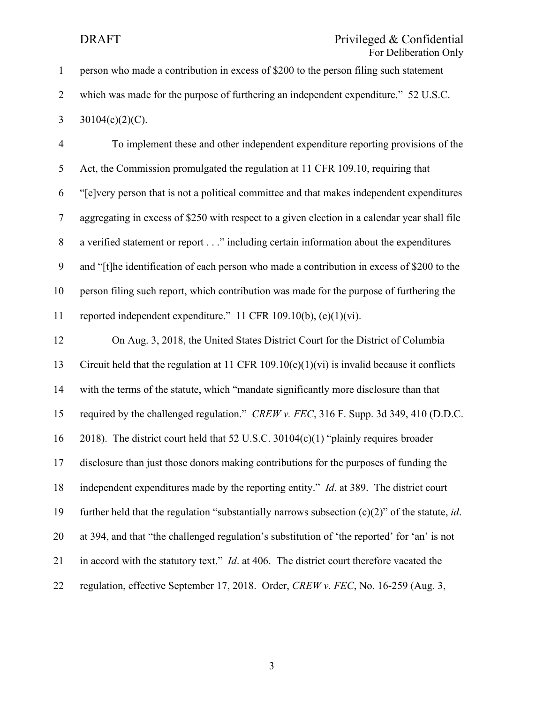### DRAFT Privileged & Confidential For Deliberation Only

| $\mathbf{1}$   | person who made a contribution in excess of \$200 to the person filing such statement                     |
|----------------|-----------------------------------------------------------------------------------------------------------|
| $\overline{2}$ | which was made for the purpose of furthering an independent expenditure." 52 U.S.C.                       |
| 3              | $30104(c)(2)(C)$ .                                                                                        |
| $\overline{4}$ | To implement these and other independent expenditure reporting provisions of the                          |
| 5              | Act, the Commission promulgated the regulation at 11 CFR 109.10, requiring that                           |
| 6              | "[e]very person that is not a political committee and that makes independent expenditures                 |
| $\tau$         | aggregating in excess of \$250 with respect to a given election in a calendar year shall file             |
| $8\,$          | a verified statement or report" including certain information about the expenditures                      |
| 9              | and "[t]he identification of each person who made a contribution in excess of \$200 to the                |
| 10             | person filing such report, which contribution was made for the purpose of furthering the                  |
| 11             | reported independent expenditure." 11 CFR 109.10(b), (e)(1)(vi).                                          |
| 12             | On Aug. 3, 2018, the United States District Court for the District of Columbia                            |
| 13             | Circuit held that the regulation at 11 CFR 109.10(e)(1)(vi) is invalid because it conflicts               |
| 14             | with the terms of the statute, which "mandate significantly more disclosure than that                     |
| 15             | required by the challenged regulation." CREW v. FEC, 316 F. Supp. 3d 349, 410 (D.D.C.                     |
| 16             | 2018). The district court held that 52 U.S.C. 30104(c)(1) "plainly requires broader                       |
| 17             | disclosure than just those donors making contributions for the purposes of funding the                    |
| 18             | independent expenditures made by the reporting entity." <i>Id.</i> at 389. The district court             |
| 19             | further held that the regulation "substantially narrows subsection $(c)(2)$ " of the statute, <i>id</i> . |
| 20             | at 394, and that "the challenged regulation's substitution of 'the reported' for 'an' is not              |
| 21             | in accord with the statutory text." <i>Id.</i> at 406. The district court therefore vacated the           |
| 22             | regulation, effective September 17, 2018. Order, CREW v. FEC, No. 16-259 (Aug. 3,                         |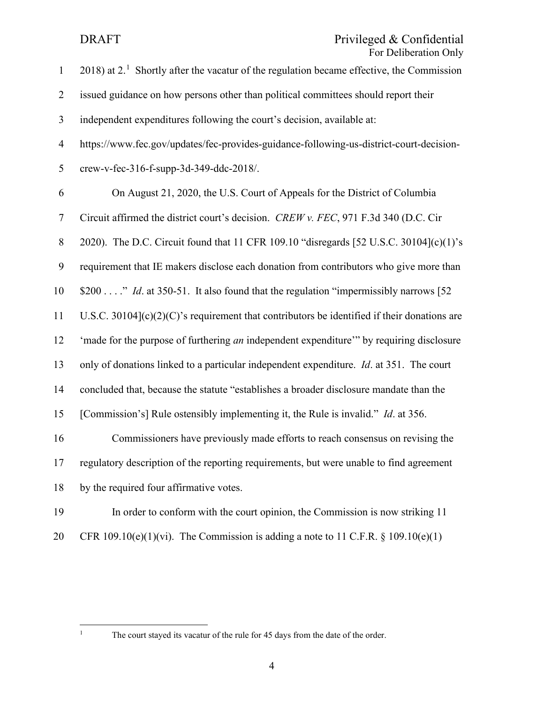## DRAFT Privileged & Confidential For Deliberation Only

| $\mathbf{1}$     | 2018) at $21$ Shortly after the vacatur of the regulation became effective, the Commission     |
|------------------|------------------------------------------------------------------------------------------------|
| $\overline{2}$   | issued guidance on how persons other than political committees should report their             |
| 3                | independent expenditures following the court's decision, available at:                         |
| $\overline{4}$   | https://www.fec.gov/updates/fec-provides-guidance-following-us-district-court-decision-        |
| 5                | crew-v-fec-316-f-supp-3d-349-ddc-2018/.                                                        |
| 6                | On August 21, 2020, the U.S. Court of Appeals for the District of Columbia                     |
| $\tau$           | Circuit affirmed the district court's decision. CREW v. FEC, 971 F.3d 340 (D.C. Cir            |
| $8\,$            | 2020). The D.C. Circuit found that 11 CFR 109.10 "disregards [52 U.S.C. 30104](c)(1)'s         |
| $\boldsymbol{9}$ | requirement that IE makers disclose each donation from contributors who give more than         |
| 10               | \$200" <i>Id.</i> at 350-51. It also found that the regulation "impermissibly narrows [52]     |
| 11               | U.S.C. 30104 $(c)(2)(C)$ 's requirement that contributors be identified if their donations are |
| 12               | 'made for the purpose of furthering an independent expenditure" by requiring disclosure        |
| 13               | only of donations linked to a particular independent expenditure. Id. at 351. The court        |
| 14               | concluded that, because the statute "establishes a broader disclosure mandate than the         |
| 15               | [Commission's] Rule ostensibly implementing it, the Rule is invalid." <i>Id.</i> at 356.       |
| 16               | Commissioners have previously made efforts to reach consensus on revising the                  |
| 17               | regulatory description of the reporting requirements, but were unable to find agreement        |
| 18               | by the required four affirmative votes.                                                        |
| 19               | In order to conform with the court opinion, the Commission is now striking 11                  |

20 CFR 109.10(e)(1)(vi). The Commission is adding a note to 11 C.F.R.  $\S$  109.10(e)(1)

<span id="page-4-0"></span>

<sup>&</sup>lt;sup>1</sup> The court stayed its vacatur of the rule for 45 days from the date of the order.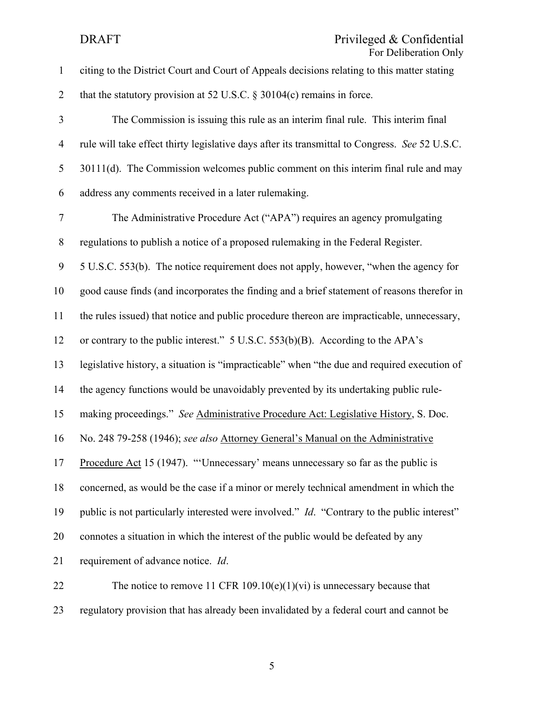| $\mathbf{1}$   | citing to the District Court and Court of Appeals decisions relating to this matter stating        |
|----------------|----------------------------------------------------------------------------------------------------|
| $\overline{2}$ | that the statutory provision at 52 U.S.C. $\S 30104(c)$ remains in force.                          |
| 3              | The Commission is issuing this rule as an interim final rule. This interim final                   |
| $\overline{4}$ | rule will take effect thirty legislative days after its transmittal to Congress. See 52 U.S.C.     |
| 5              | 30111(d). The Commission welcomes public comment on this interim final rule and may                |
| 6              | address any comments received in a later rulemaking.                                               |
| $\tau$         | The Administrative Procedure Act ("APA") requires an agency promulgating                           |
| $8\,$          | regulations to publish a notice of a proposed rulemaking in the Federal Register.                  |
| 9              | 5 U.S.C. 553(b). The notice requirement does not apply, however, "when the agency for              |
| 10             | good cause finds (and incorporates the finding and a brief statement of reasons therefor in        |
| 11             | the rules issued) that notice and public procedure thereon are impracticable, unnecessary,         |
| 12             | or contrary to the public interest." 5 U.S.C. 553(b)(B). According to the APA's                    |
| 13             | legislative history, a situation is "impracticable" when "the due and required execution of        |
| 14             | the agency functions would be unavoidably prevented by its undertaking public rule-                |
| 15             | making proceedings." See Administrative Procedure Act: Legislative History, S. Doc.                |
| 16             | No. 248 79-258 (1946); see also Attorney General's Manual on the Administrative                    |
| 17             | Procedure Act 15 (1947). "'Unnecessary' means unnecessary so far as the public is                  |
| 18             | concerned, as would be the case if a minor or merely technical amendment in which the              |
| 19             | public is not particularly interested were involved." <i>Id.</i> "Contrary to the public interest" |
| 20             | connotes a situation in which the interest of the public would be defeated by any                  |
| 21             | requirement of advance notice. Id.                                                                 |
| 22             | The notice to remove 11 CFR 109.10(e)(1)(vi) is unnecessary because that                           |
| 23             | regulatory provision that has already been invalidated by a federal court and cannot be            |

5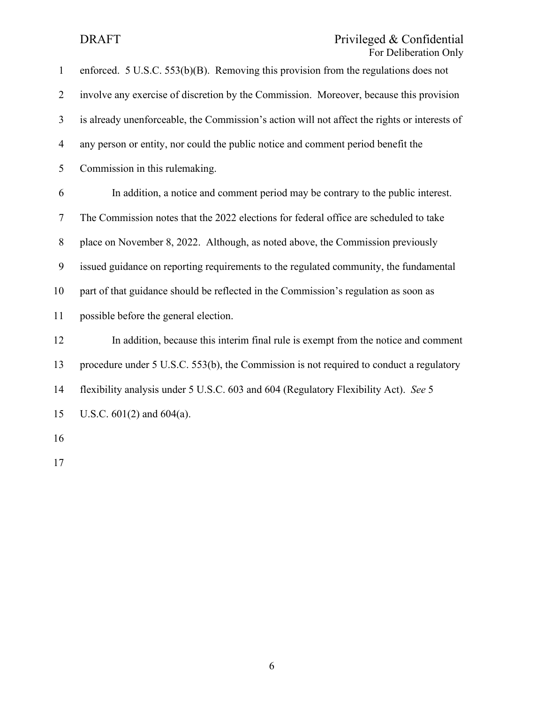### DRAFT Privileged & Confidential For Deliberation Only

| $\mathbf{1}$   | enforced. $5$ U.S.C. $553(b)(B)$ . Removing this provision from the regulations does not     |
|----------------|----------------------------------------------------------------------------------------------|
| $\overline{2}$ | involve any exercise of discretion by the Commission. Moreover, because this provision       |
| $\overline{3}$ | is already unenforceable, the Commission's action will not affect the rights or interests of |
| $\overline{4}$ | any person or entity, nor could the public notice and comment period benefit the             |
| 5              | Commission in this rulemaking.                                                               |
| 6              | In addition, a notice and comment period may be contrary to the public interest.             |
| $\tau$         | The Commission notes that the 2022 elections for federal office are scheduled to take        |
| 8              | place on November 8, 2022. Although, as noted above, the Commission previously               |
| 9              | issued guidance on reporting requirements to the regulated community, the fundamental        |
| 10             | part of that guidance should be reflected in the Commission's regulation as soon as          |
| 11             | possible before the general election.                                                        |
| 12             | In addition, because this interim final rule is exempt from the notice and comment           |
| 13             | procedure under 5 U.S.C. 553(b), the Commission is not required to conduct a regulatory      |
| 14             | flexibility analysis under 5 U.S.C. 603 and 604 (Regulatory Flexibility Act). See 5          |
| 15             | U.S.C. $601(2)$ and $604(a)$ .                                                               |
| 16             |                                                                                              |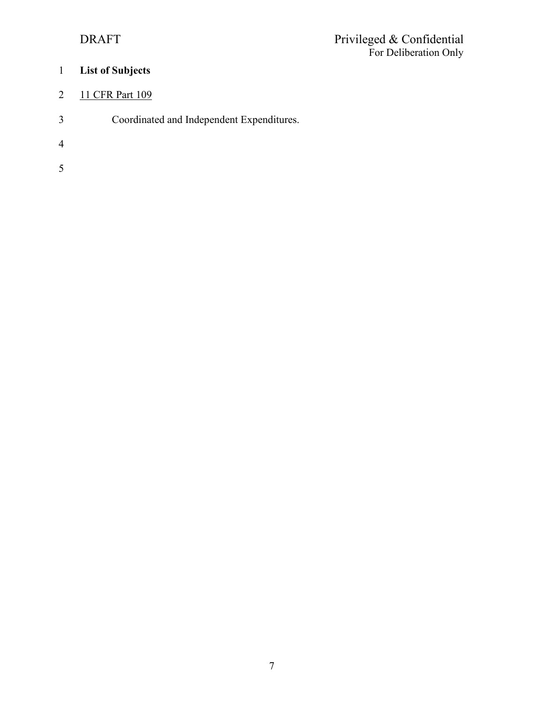# 1 **List of Subjects**

# 2 11 CFR Part 109

- 3 Coordinated and Independent Expenditures.
- 4
- 5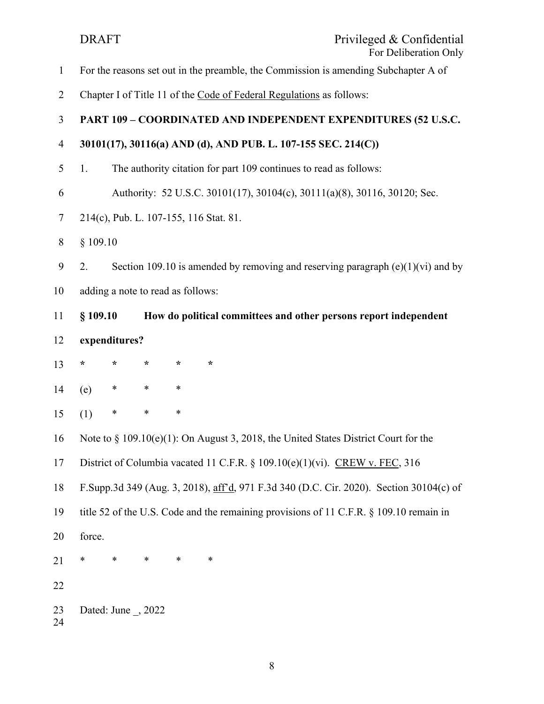DRAFT Privileged & Confidential For Deliberation Only 1 For the reasons set out in the preamble, the Commission is amending Subchapter A of 2 Chapter I of Title 11 of the Code of Federal Regulations as follows: 3 **PART 109 – COORDINATED AND INDEPENDENT EXPENDITURES (52 U.S.C.**  4 **30101(17), 30116(a) AND (d), AND PUB. L. 107-155 SEC. 214(C))**  5 1. The authority citation for part 109 continues to read as follows: 6 Authority: 52 U.S.C. 30101(17), 30104(c), 30111(a)(8), 30116, 30120; Sec. 7 214(c), Pub. L. 107-155, 116 Stat. 81. 8 § 109.10 9 2. Section 109.10 is amended by removing and reserving paragraph  $(e)(1)(vi)$  and by 10 adding a note to read as follows: 11 **§ 109.10 How do political committees and other persons report independent**  12 **expenditures?** 13 **\* \* \* \* \***  14 (e) \* \* \* 15 (1) \* \* \* 16 Note to § 109.10(e)(1): On August 3, 2018, the United States District Court for the 17 District of Columbia vacated 11 C.F.R. § 109.10(e)(1)(vi). CREW v. FEC, 316 18 F.Supp.3d 349 (Aug. 3, 2018), aff'd, 971 F.3d 340 (D.C. Cir. 2020). Section 30104(c) of 19 title 52 of the U.S. Code and the remaining provisions of 11 C.F.R. § 109.10 remain in 20 force. 21 \* \* \* \* \* 22 23 Dated: June \_, 2022 24